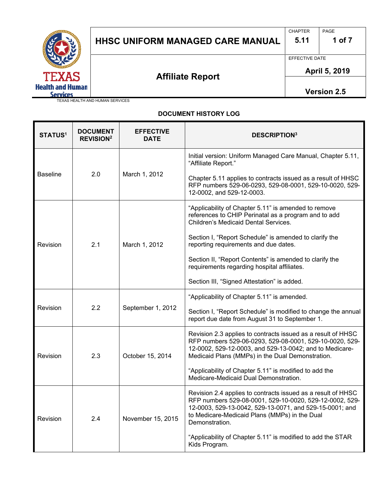

# HHSC UNIFORM MANAGED CARE MANUAL | 5.11 | 1 of 7

CHAPTER PAGE

EFFECTIVE DATE

 $\overline{a}$ 

 **April 5, 2019** 

**Affiliate Report** 

**Version 2.5**

TEXAS HEALTH AND HUMAN SERVICES

### **DOCUMENT HISTORY LOG**

| <b>STATUS1</b>  | <b>DOCUMENT</b><br><b>REVISION<sup>2</sup></b> | <b>EFFECTIVE</b><br><b>DATE</b> | <b>DESCRIPTION3</b>                                                                                                                                                                                                                                   |
|-----------------|------------------------------------------------|---------------------------------|-------------------------------------------------------------------------------------------------------------------------------------------------------------------------------------------------------------------------------------------------------|
|                 |                                                |                                 | Initial version: Uniform Managed Care Manual, Chapter 5.11,<br>"Affiliate Report."                                                                                                                                                                    |
| <b>Baseline</b> | 2.0                                            | March 1, 2012                   | Chapter 5.11 applies to contracts issued as a result of HHSC<br>RFP numbers 529-06-0293, 529-08-0001, 529-10-0020, 529-<br>12-0002, and 529-12-0003.                                                                                                  |
|                 | 2.1                                            | March 1, 2012                   | "Applicability of Chapter 5.11" is amended to remove<br>references to CHIP Perinatal as a program and to add<br>Children's Medicaid Dental Services.                                                                                                  |
| Revision        |                                                |                                 | Section I, "Report Schedule" is amended to clarify the<br>reporting requirements and due dates.                                                                                                                                                       |
|                 |                                                |                                 | Section II, "Report Contents" is amended to clarify the<br>requirements regarding hospital affiliates.                                                                                                                                                |
|                 |                                                |                                 | Section III, "Signed Attestation" is added.                                                                                                                                                                                                           |
|                 |                                                | September 1, 2012               | "Applicability of Chapter 5.11" is amended.                                                                                                                                                                                                           |
| Revision        | 2.2                                            |                                 | Section I, "Report Schedule" is modified to change the annual<br>report due date from August 31 to September 1.                                                                                                                                       |
| Revision        | 2.3                                            | October 15, 2014                | Revision 2.3 applies to contracts issued as a result of HHSC<br>RFP numbers 529-06-0293, 529-08-0001, 529-10-0020, 529-<br>12-0002, 529-12-0003, and 529-13-0042; and to Medicare-<br>Medicaid Plans (MMPs) in the Dual Demonstration.                |
|                 |                                                |                                 | "Applicability of Chapter 5.11" is modified to add the<br>Medicare-Medicaid Dual Demonstration.                                                                                                                                                       |
| <b>Revision</b> | 2.4                                            | November 15, 2015               | Revision 2.4 applies to contracts issued as a result of HHSC<br>RFP numbers 529-08-0001, 529-10-0020, 529-12-0002, 529-<br>12-0003, 529-13-0042, 529-13-0071, and 529-15-0001; and<br>to Medicare-Medicaid Plans (MMPs) in the Dual<br>Demonstration. |
|                 |                                                |                                 | "Applicability of Chapter 5.11" is modified to add the STAR<br>Kids Program.                                                                                                                                                                          |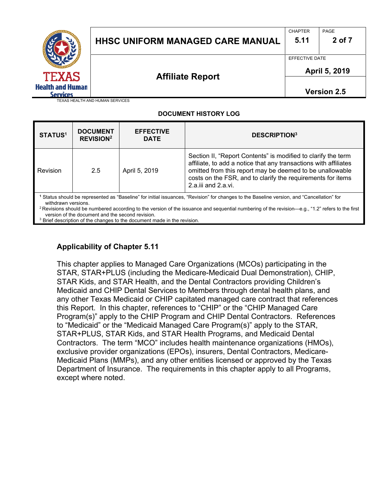|                                                            | <b>HHSC UNIFORM MANAGED CARE MANUAL</b> | <b>CHAPTER</b><br>5.11          | PAGE<br>2 of 7     |  |
|------------------------------------------------------------|-----------------------------------------|---------------------------------|--------------------|--|
|                                                            |                                         | EFFECTIVE DATE<br>April 5, 2019 |                    |  |
| <b>TEXAS</b><br><b>Health and Human</b><br><b>Services</b> | <b>Affiliate Report</b>                 |                                 | <b>Version 2.5</b> |  |
| TEXAS HEALTH AND HUMAN SERVICES                            |                                         |                                 |                    |  |

### **DOCUMENT HISTORY LOG**

| <b>STATUS1</b>                                                                                                                                                                                                                                                                                                                                                                     | <b>DOCUMENT</b><br><b>REVISION<sup>2</sup></b> | <b>EFFECTIVE</b><br><b>DATE</b> | <b>DESCRIPTION3</b>                                                                                                                                                                                                                                                                       |
|------------------------------------------------------------------------------------------------------------------------------------------------------------------------------------------------------------------------------------------------------------------------------------------------------------------------------------------------------------------------------------|------------------------------------------------|---------------------------------|-------------------------------------------------------------------------------------------------------------------------------------------------------------------------------------------------------------------------------------------------------------------------------------------|
| Revision                                                                                                                                                                                                                                                                                                                                                                           | 2.5                                            | April 5, 2019                   | Section II, "Report Contents" is modified to clarify the term<br>affiliate, to add a notice that any transactions with affiliates<br>omitted from this report may be deemed to be unallowable<br>costs on the FSR, and to clarify the requirements for items<br>$2.a.$ iii and $2.a.$ vi. |
| Status should be represented as "Baseline" for initial issuances, "Revision" for changes to the Baseline version, and "Cancellation" for<br>withdrawn versions.<br><sup>2</sup> Revisions should be numbered according to the version of the issuance and sequential numbering of the revision—e.g., "1.2" refers to the first<br>version of the document and the second revision. |                                                |                                 |                                                                                                                                                                                                                                                                                           |

<sup>3</sup> Brief description of the changes to the document made in the revision.

### **Applicability of Chapter 5.11**

This chapter applies to Managed Care Organizations (MCOs) participating in the STAR, STAR+PLUS (including the Medicare-Medicaid Dual Demonstration), CHIP, STAR Kids, and STAR Health, and the Dental Contractors providing Children's Medicaid and CHIP Dental Services to Members through dental health plans, and any other Texas Medicaid or CHIP capitated managed care contract that references this Report. In this chapter, references to "CHIP" or the "CHIP Managed Care Program(s)" apply to the CHIP Program and CHIP Dental Contractors. References to "Medicaid" or the "Medicaid Managed Care Program(s)" apply to the STAR, STAR+PLUS, STAR Kids, and STAR Health Programs, and Medicaid Dental Contractors. The term "MCO" includes health maintenance organizations (HMOs), exclusive provider organizations (EPOs), insurers, Dental Contractors, Medicare-Medicaid Plans (MMPs), and any other entities licensed or approved by the Texas Department of Insurance. The requirements in this chapter apply to all Programs, except where noted.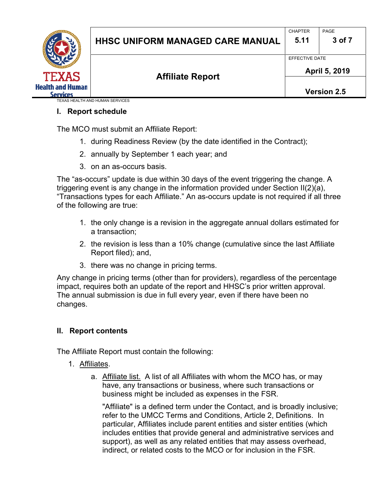

## **I. Report schedule**

The MCO must submit an Affiliate Report:

- 1. during Readiness Review (by the date identified in the Contract);
- 2. annually by September 1 each year; and
- 3. on an as-occurs basis.

The "as-occurs" update is due within 30 days of the event triggering the change. A triggering event is any change in the information provided under Section II(2)(a), "Transactions types for each Affiliate." An as-occurs update is not required if all three of the following are true:

- 1. the only change is a revision in the aggregate annual dollars estimated for a transaction;
- 2. the revision is less than a 10% change (cumulative since the last Affiliate Report filed); and,
- 3. there was no change in pricing terms.

Any change in pricing terms (other than for providers), regardless of the percentage impact, requires both an update of the report and HHSC's prior written approval. The annual submission is due in full every year, even if there have been no changes.

### **II. Report contents**

The Affiliate Report must contain the following:

- 1. Affiliates.
	- a. Affiliate list. A list of all Affiliates with whom the MCO has, or may have, any transactions or business, where such transactions or business might be included as expenses in the FSR.

"Affiliate" is a defined term under the Contact, and is broadly inclusive; refer to the UMCC Terms and Conditions, Article 2, Definitions. In particular, Affiliates include parent entities and sister entities (which includes entities that provide general and administrative services and support), as well as any related entities that may assess overhead, indirect, or related costs to the MCO or for inclusion in the FSR.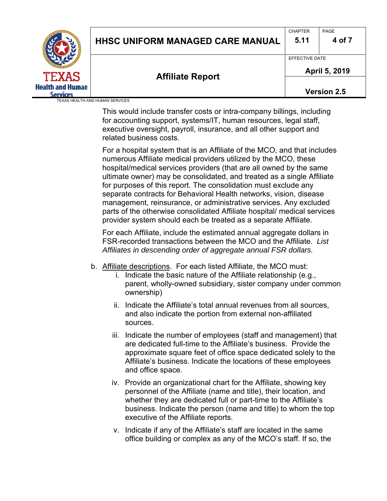|                         |                                         | <b>CHAPTER</b> | PAGE               |
|-------------------------|-----------------------------------------|----------------|--------------------|
|                         | <b>HHSC UNIFORM MANAGED CARE MANUAL</b> |                |                    |
|                         |                                         | 5.11           | 4 of 7             |
|                         |                                         | EFFECTIVE DATE |                    |
|                         |                                         | April 5, 2019  |                    |
| <b>TEXAS</b>            | <b>Affiliate Report</b>                 |                |                    |
| <b>Health and Human</b> |                                         |                | <b>Version 2.5</b> |
| <b>Services</b>         |                                         |                |                    |
|                         | <b>TEXAS HEALTH AND HUMAN SERVICES</b>  |                |                    |

This would include transfer costs or intra-company billings, including for accounting support, systems/IT, human resources, legal staff, executive oversight, payroll, insurance, and all other support and related business costs.

For a hospital system that is an Affiliate of the MCO, and that includes numerous Affiliate medical providers utilized by the MCO, these hospital/medical services providers (that are all owned by the same ultimate owner) may be consolidated, and treated as a single Affiliate for purposes of this report. The consolidation must exclude any separate contracts for Behavioral Health networks, vision, disease management, reinsurance, or administrative services. Any excluded parts of the otherwise consolidated Affiliate hospital/ medical services provider system should each be treated as a separate Affiliate.

For each Affiliate, include the estimated annual aggregate dollars in FSR-recorded transactions between the MCO and the Affiliate. *List Affiliates in descending order of aggregate annual FSR dollars.*

- b. Affiliate descriptions. For each listed Affiliate, the MCO must:
	- i. Indicate the basic nature of the Affiliate relationship (e.g., parent, wholly-owned subsidiary, sister company under common ownership)
	- ii. Indicate the Affiliate's total annual revenues from all sources, and also indicate the portion from external non-affiliated sources.
	- iii. Indicate the number of employees (staff and management) that are dedicated full-time to the Affiliate's business. Provide the approximate square feet of office space dedicated solely to the Affiliate's business. Indicate the locations of these employees and office space.
	- iv. Provide an organizational chart for the Affiliate, showing key personnel of the Affiliate (name and title), their location, and whether they are dedicated full or part-time to the Affiliate's business. Indicate the person (name and title) to whom the top executive of the Affiliate reports.
	- v. Indicate if any of the Affiliate's staff are located in the same office building or complex as any of the MCO's staff. If so, the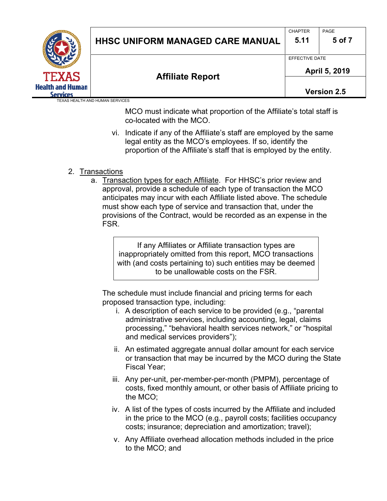| <b>TEXAS</b>                               | <b>HHSC UNIFORM MANAGED CARE MANUAL</b> | <b>CHAPTER</b><br>5.11          | PAGE<br>5 of 7 |
|--------------------------------------------|-----------------------------------------|---------------------------------|----------------|
|                                            | <b>Affiliate Report</b>                 | EFFECTIVE DATE<br>April 5, 2019 |                |
| <b>Health and Human</b><br><b>Services</b> |                                         |                                 | Version 2.5    |
|                                            | TEXAS HEALTH AND HUMAN SERVICES         |                                 |                |

MCO must indicate what proportion of the Affiliate's total staff is co-located with the MCO.

- vi. Indicate if any of the Affiliate's staff are employed by the same legal entity as the MCO's employees. If so, identify the proportion of the Affiliate's staff that is employed by the entity.
- 2. Transactions
	- a. Transaction types for each Affiliate. For HHSC's prior review and approval, provide a schedule of each type of transaction the MCO anticipates may incur with each Affiliate listed above. The schedule must show each type of service and transaction that, under the provisions of the Contract, would be recorded as an expense in the FSR.

If any Affiliates or Affiliate transaction types are inappropriately omitted from this report, MCO transactions with (and costs pertaining to) such entities may be deemed to be unallowable costs on the FSR.

The schedule must include financial and pricing terms for each proposed transaction type, including:

- i. A description of each service to be provided (e.g., "parental administrative services, including accounting, legal, claims processing," "behavioral health services network," or "hospital and medical services providers");
- ii. An estimated aggregate annual dollar amount for each service or transaction that may be incurred by the MCO during the State Fiscal Year;
- iii. Any per-unit, per-member-per-month (PMPM), percentage of costs, fixed monthly amount, or other basis of Affiliate pricing to the MCO;
- iv. A list of the types of costs incurred by the Affiliate and included in the price to the MCO (e.g., payroll costs; facilities occupancy costs; insurance; depreciation and amortization; travel);
- v. Any Affiliate overhead allocation methods included in the price to the MCO; and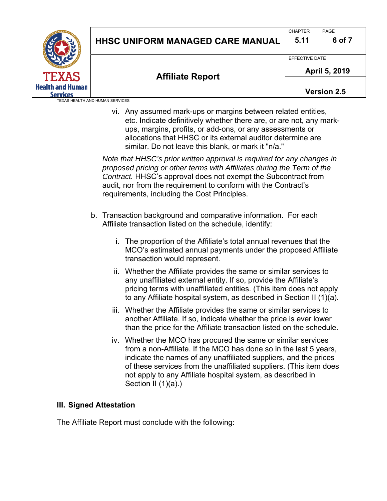|                         |                                         |                | PAGE               |
|-------------------------|-----------------------------------------|----------------|--------------------|
|                         | <b>HHSC UNIFORM MANAGED CARE MANUAL</b> | 5.11           | 6 of 7             |
|                         |                                         | EFFECTIVE DATE |                    |
|                         |                                         | April 5, 2019  |                    |
| <b>TEXAS</b>            | <b>Affiliate Report</b>                 |                |                    |
| <b>Health and Human</b> |                                         |                | <b>Version 2.5</b> |
| <b>Services</b>         |                                         |                |                    |
|                         | TEXAS HEALTH AND HUMAN SERVICES         |                |                    |

vi. Any assumed mark-ups or margins between related entities, etc. Indicate definitively whether there are, or are not, any markups, margins, profits, or add-ons, or any assessments or allocations that HHSC or its external auditor determine are similar. Do not leave this blank, or mark it "n/a."

*Note that HHSC's prior written approval is required for any changes in proposed pricing or other terms with Affiliates during the Term of the Contract.* HHSC's approval does not exempt the Subcontract from audit, nor from the requirement to conform with the Contract's requirements, including the Cost Principles.

- b. Transaction background and comparative information. For each Affiliate transaction listed on the schedule, identify:
	- i. The proportion of the Affiliate's total annual revenues that the MCO's estimated annual payments under the proposed Affiliate transaction would represent.
	- ii. Whether the Affiliate provides the same or similar services to any unaffiliated external entity. If so, provide the Affiliate's pricing terms with unaffiliated entities. (This item does not apply to any Affiliate hospital system, as described in Section II (1)(a).
	- iii. Whether the Affiliate provides the same or similar services to another Affiliate. If so, indicate whether the price is ever lower than the price for the Affiliate transaction listed on the schedule.
	- iv. Whether the MCO has procured the same or similar services from a non-Affiliate. If the MCO has done so in the last 5 years, indicate the names of any unaffiliated suppliers, and the prices of these services from the unaffiliated suppliers. (This item does not apply to any Affiliate hospital system, as described in Section II (1)(a).)

### **III. Signed Attestation**

The Affiliate Report must conclude with the following: